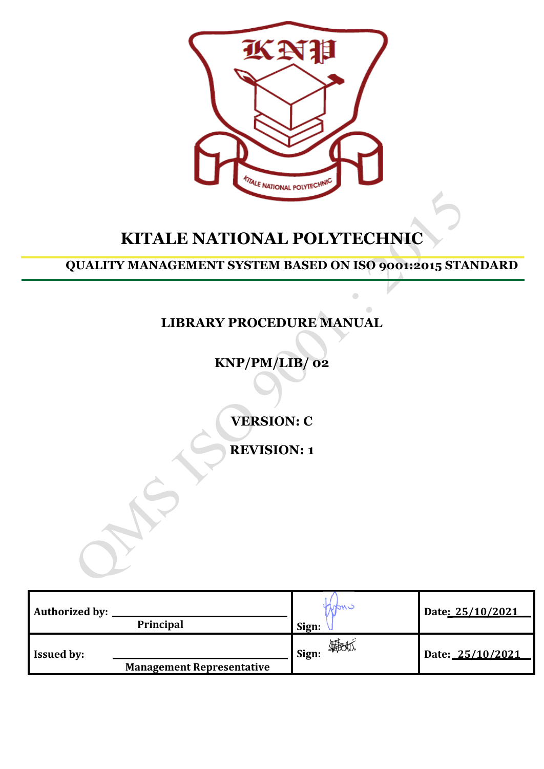

# **KITALE NATIONAL POLYTECHNIC**

**QUALITY MANAGEMENT SYSTEM BASED ON ISO 9001:2015 STANDARD**

 $\overline{\phantom{0}}$ 

**LIBRARY PROCEDURE MANUAL**

**KNP/PM/LIB/ 02**

**VERSION: C**

**REVISION: 1**

| <b>Authorized by:</b> |                                  | Induc       | Date: 25/10/2021 |
|-----------------------|----------------------------------|-------------|------------------|
|                       | <b>Principal</b>                 | Sign:       |                  |
| <b>Issued by:</b>     |                                  | 摄他<br>Sign: | Date: 25/10/2021 |
|                       | <b>Management Representative</b> |             |                  |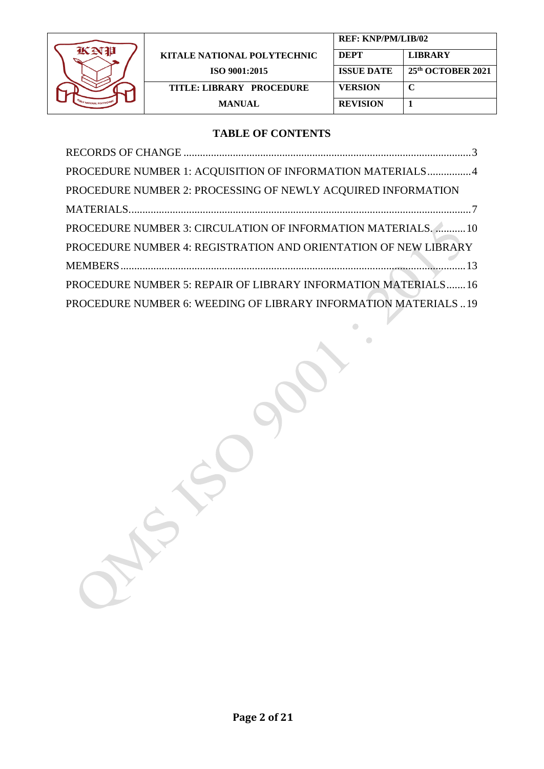

|                             | <b>REF: KNP/PM/LIB/02</b> |                   |
|-----------------------------|---------------------------|-------------------|
| KITALE NATIONAL POLYTECHNIC | <b>DEPT</b>               | <b>LIBRARY</b>    |
| ISO 9001:2015               | <b>ISSUE DATE</b>         | 25th OCTOBER 2021 |
| TITLE: LIBRARY PROCEDURE    | <b>VERSION</b>            | C                 |
| <b>MANUAL</b>               | <b>REVISION</b>           |                   |

 $\hat{\mathcal{O}}$ 

 $\bullet$ 

### **TABLE OF CONTENTS**

| PROCEDURE NUMBER 1: ACQUISITION OF INFORMATION MATERIALS4       |
|-----------------------------------------------------------------|
| PROCEDURE NUMBER 2: PROCESSING OF NEWLY ACQUIRED INFORMATION    |
|                                                                 |
| PROCEDURE NUMBER 3: CIRCULATION OF INFORMATION MATERIALS.  10   |
| PROCEDURE NUMBER 4: REGISTRATION AND ORIENTATION OF NEW LIBRARY |
|                                                                 |
| PROCEDURE NUMBER 5: REPAIR OF LIBRARY INFORMATION MATERIALS16   |
| PROCEDURE NUMBER 6: WEEDING OF LIBRARY INFORMATION MATERIALS19  |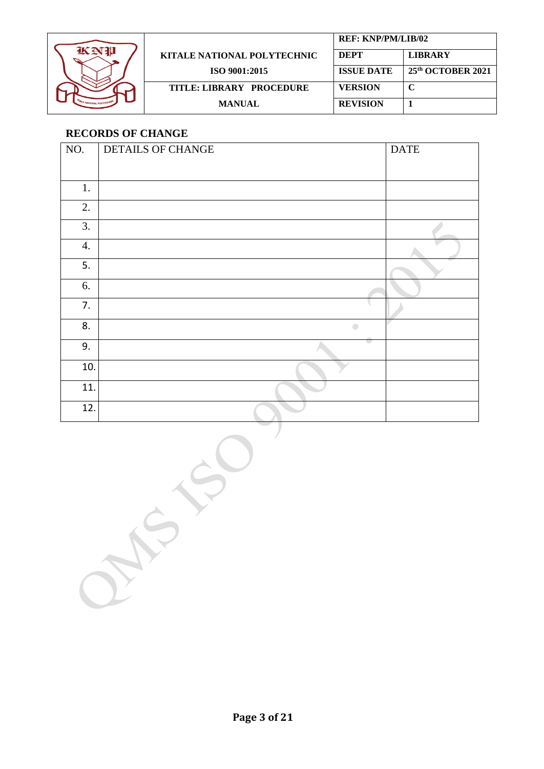

|                                    | <b>REF: KNP/PM/LIB/02</b> |                   |
|------------------------------------|---------------------------|-------------------|
| <b>KITALE NATIONAL POLYTECHNIC</b> | <b>DEPT</b>               | <b>LIBRARY</b>    |
| ISO 9001:2015                      | <b>ISSUE DATE</b>         | 25th OCTOBER 2021 |
| TITLE: LIBRARY PROCEDURE           | <b>VERSION</b>            | $\mathbf C$       |
| <b>MANUAL</b>                      | <b>REVISION</b>           |                   |

# <span id="page-2-0"></span>**RECORDS OF CHANGE**

| NO. | DETAILS OF CHANGE | <b>DATE</b> |
|-----|-------------------|-------------|
|     |                   |             |
| 1.  |                   |             |
| 2.  |                   |             |
| 3.  |                   |             |
| 4.  |                   |             |
| 5.  |                   |             |
| 6.  |                   |             |
| 7.  |                   |             |
| 8.  | $\bigcirc$        |             |
| 9.  |                   |             |
| 10. |                   |             |
| 11. |                   |             |
| 12. |                   |             |
|     |                   |             |

S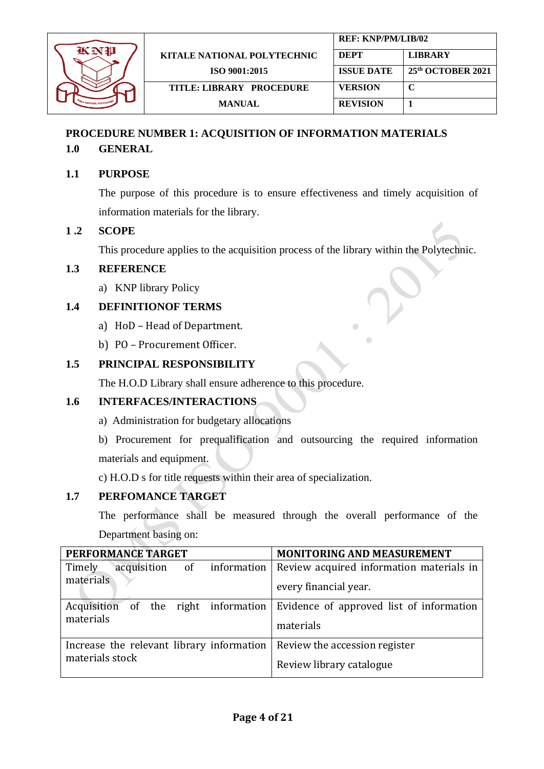

#### <span id="page-3-0"></span>**PROCEDURE NUMBER 1: ACQUISITION OF INFORMATION MATERIALS**

#### **1.0 GENERAL**

#### **1.1 PURPOSE**

The purpose of this procedure is to ensure effectiveness and timely acquisition of information materials for the library.

#### **1 .2 SCOPE**

This procedure applies to the acquisition process of the library within the Polytechnic.

#### **1.3 REFERENCE**

a) KNP library Policy

#### **1.4 DEFINITIONOF TERMS**

- a) HoD Head of Department.
- b) PO Procurement Officer.

#### **1.5 PRINCIPAL RESPONSIBILITY**

The H.O.D Library shall ensure adherence to this procedure.

#### **1.6 INTERFACES/INTERACTIONS**

- a) Administration for budgetary allocations
- b) Procurement for prequalification and outsourcing the required information materials and equipment.

c) H.O.D s for title requests within their area of specialization.

### **1.7 PERFOMANCE TARGET**

The performance shall be measured through the overall performance of the Department basing on:

| PERFORMANCE TARGET |             |  |                          | <b>MONITORING AND MEASUREMENT</b>                                             |
|--------------------|-------------|--|--------------------------|-------------------------------------------------------------------------------|
| Timely             | acquisition |  | of information           | Review acquired information materials in                                      |
| materials          |             |  |                          | every financial year.                                                         |
|                    |             |  |                          | Acquisition of the right information Evidence of approved list of information |
| materials          |             |  |                          | materials                                                                     |
|                    |             |  |                          | Increase the relevant library information   Review the accession register     |
| materials stock    |             |  | Review library catalogue |                                                                               |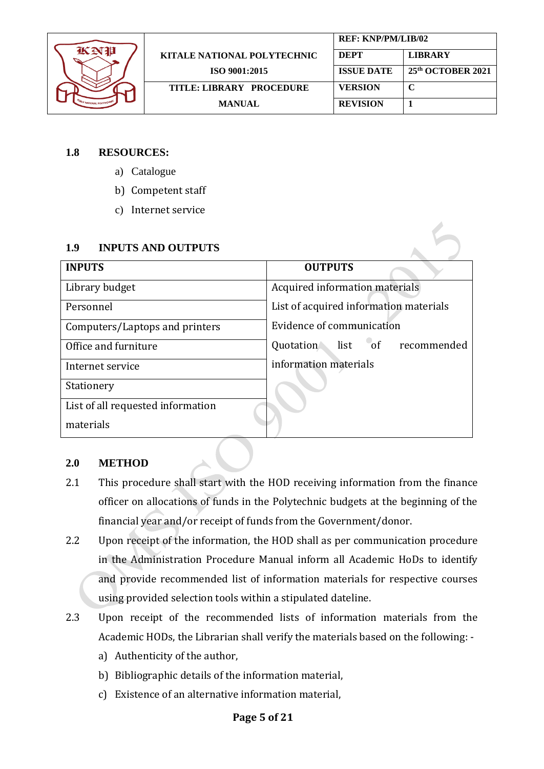

|                                    | <b>REF: KNP/PM/LIB/02</b> |                   |
|------------------------------------|---------------------------|-------------------|
| <b>KITALE NATIONAL POLYTECHNIC</b> | <b>DEPT</b>               | <b>LIBRARY</b>    |
| <b>ISO 9001:2015</b>               | <b>ISSUE DATE</b>         | 25th OCTOBER 2021 |
| TITLE: LIBRARY PROCEDURE           | <b>VERSION</b>            | C                 |
| <b>MANUAL</b>                      | <b>REVISION</b>           |                   |

### **1.8 RESOURCES:**

- a) Catalogue
- b) Competent staff
- c) Internet service

#### **1.9 INPUTS AND OUTPUTS**

| <b>INPUTS</b>                     | <b>OUTPUTS</b>                         |
|-----------------------------------|----------------------------------------|
| Library budget                    | Acquired information materials         |
| Personnel                         | List of acquired information materials |
| Computers/Laptops and printers    | Evidence of communication              |
| Office and furniture              | Quotation list of recommended          |
| Internet service                  | information materials                  |
| Stationery                        |                                        |
| List of all requested information |                                        |
| materials                         |                                        |

#### **2.0 METHOD**

- 2.1 This procedure shall start with the HOD receiving information from the finance officer on allocations of funds in the Polytechnic budgets at the beginning of the financial year and/or receipt of funds from the Government/donor.
- 2.2 Upon receipt of the information, the HOD shall as per communication procedure in the Administration Procedure Manual inform all Academic HoDs to identify and provide recommended list of information materials for respective courses using provided selection tools within a stipulated dateline.
- 2.3 Upon receipt of the recommended lists of information materials from the Academic HODs, the Librarian shall verify the materials based on the following:
	- a) Authenticity of the author,
	- b) Bibliographic details of the information material,
	- c) Existence of an alternative information material,

#### **Page 5 of 21**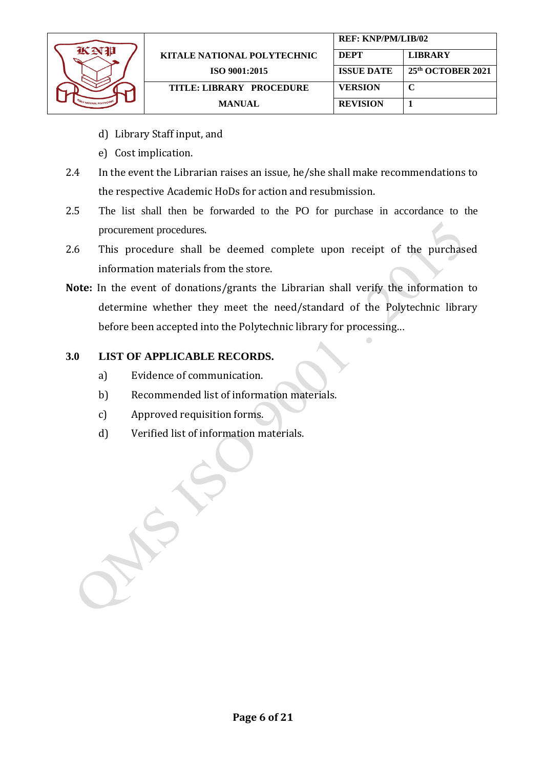

- d) Library Staff input, and
- e) Cost implication.
- 2.4 In the event the Librarian raises an issue, he/she shall make recommendations to the respective Academic HoDs for action and resubmission.
- 2.5 The list shall then be forwarded to the PO for purchase in accordance to the procurement procedures.
- 2.6 This procedure shall be deemed complete upon receipt of the purchased information materials from the store.
- **Note:** In the event of donations/grants the Librarian shall verify the information to determine whether they meet the need/standard of the Polytechnic library before been accepted into the Polytechnic library for processing...

### **3.0 LIST OF APPLICABLE RECORDS.**

- a) Evidence of communication.
- b) Recommended list of information materials.
- c) Approved requisition forms.
- d) Verified list of information materials.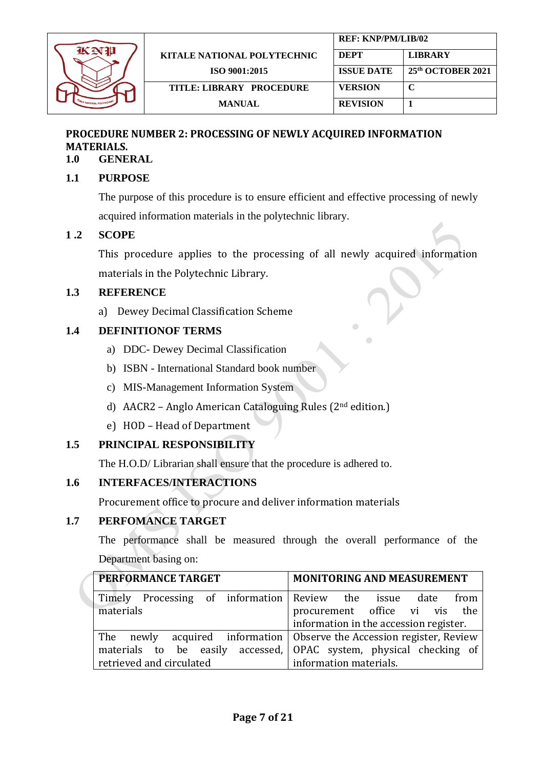

## <span id="page-6-0"></span>**PROCEDURE NUMBER 2: PROCESSING OF NEWLY ACQUIRED INFORMATION MATERIALS.**

### **1.0 GENERAL**

### **1.1 PURPOSE**

The purpose of this procedure is to ensure efficient and effective processing of newly acquired information materials in the polytechnic library.

### **1 .2 SCOPE**

This procedure applies to the processing of all newly acquired information materials in the Polytechnic Library.

### **1.3 REFERENCE**

a) Dewey Decimal Classification Scheme

# **1.4 DEFINITIONOF TERMS**

- a) DDC- Dewey Decimal Classification
- b) ISBN International Standard book number
- c) MIS-Management Information System
- d) AACR2 Anglo American Cataloguing Rules (2nd edition.)
- e) HOD Head of Department

# **1.5 PRINCIPAL RESPONSIBILITY**

The H.O.D/ Librarian shall ensure that the procedure is adhered to.

# **1.6 INTERFACES/INTERACTIONS**

Procurement office to procure and deliver information materials

# **1.7 PERFOMANCE TARGET**

The performance shall be measured through the overall performance of the Department basing on:

| <b>PERFORMANCE TARGET</b>                                               | <b>MONITORING AND MEASUREMENT</b>                                  |
|-------------------------------------------------------------------------|--------------------------------------------------------------------|
| Timely Processing of information Review the issue date                  | from                                                               |
| materials                                                               | procurement office vi vis the                                      |
|                                                                         | information in the accession register.                             |
| The newly acquired information   Observe the Accession register, Review |                                                                    |
|                                                                         | materials to be easily accessed, OPAC system, physical checking of |
| retrieved and circulated                                                | information materials.                                             |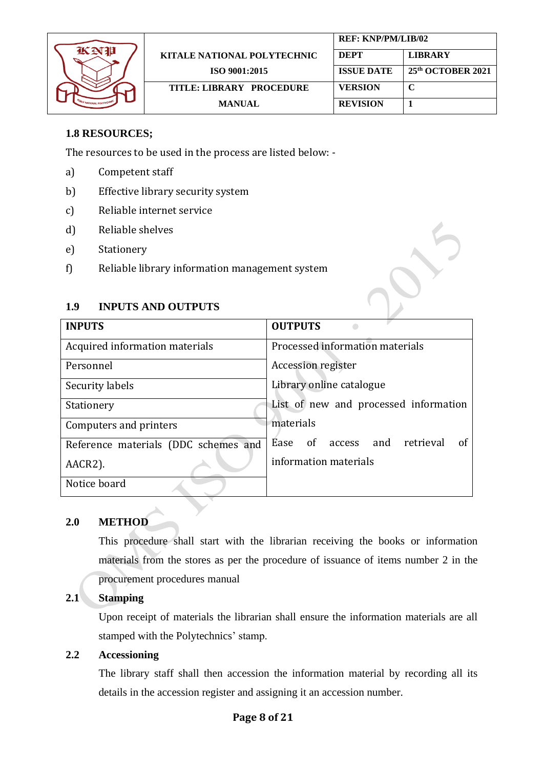

|                             | <b>REF: KNP/PM/LIB/02</b> |                   |
|-----------------------------|---------------------------|-------------------|
| KITALE NATIONAL POLYTECHNIC | <b>DEPT</b>               | <b>LIBRARY</b>    |
| ISO 9001:2015               | <b>ISSUE DATE</b>         | 25th OCTOBER 2021 |
| TITLE: LIBRARY PROCEDURE    | <b>VERSION</b>            | C                 |
| <b>MANUAL</b>               | <b>REVISION</b>           |                   |

### **1.8 RESOURCES;**

The resources to be used in the process are listed below: -

- a) Competent staff
- b) Effective library security system
- c) Reliable internet service
- d) Reliable shelves
- e) Stationery
- f) Reliable library information management system

### **1.9 INPUTS AND OUTPUTS**

| <b>INPUTS</b>                        | <b>OUTPUTS</b>                        |
|--------------------------------------|---------------------------------------|
| Acquired information materials       | Processed information materials       |
| Personnel                            | Accession register                    |
| Security labels                      | Library online catalogue              |
| Stationery                           | List of new and processed information |
| Computers and printers               | materials                             |
| Reference materials (DDC schemes and | Ease of access and retrieval<br>Ωt    |
| AACR2).                              | information materials                 |
| Notice board                         |                                       |

#### **2.0 METHOD**

This procedure shall start with the librarian receiving the books or information materials from the stores as per the procedure of issuance of items number 2 in the procurement procedures manual

### **2.1 Stamping**

Upon receipt of materials the librarian shall ensure the information materials are all stamped with the Polytechnics' stamp.

### **2.2 Accessioning**

The library staff shall then accession the information material by recording all its details in the accession register and assigning it an accession number.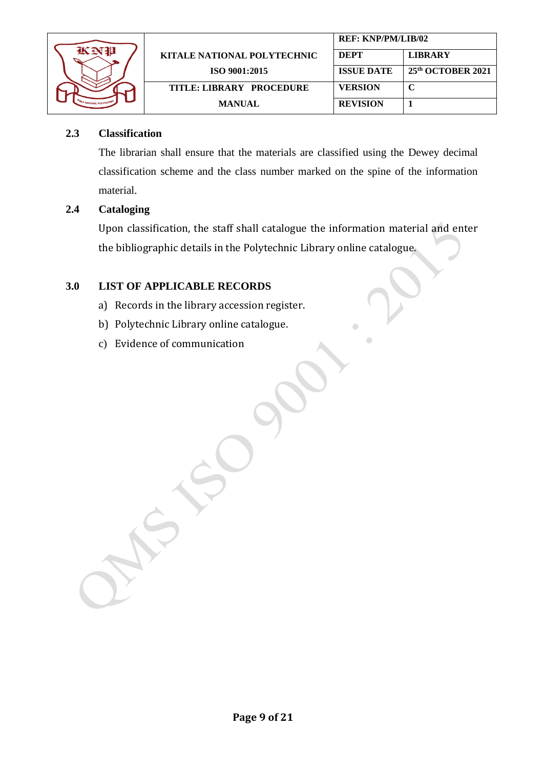

 $\sqrt{2}$ 

### **2.3 Classification**

The librarian shall ensure that the materials are classified using the Dewey decimal classification scheme and the class number marked on the spine of the information material.

### **2.4 Cataloging**

Upon classification, the staff shall catalogue the information material and enter the bibliographic details in the Polytechnic Library online catalogue.

### **3.0 LIST OF APPLICABLE RECORDS**

- a) Records in the library accession register.
- b) Polytechnic Library online catalogue.
- c) Evidence of communication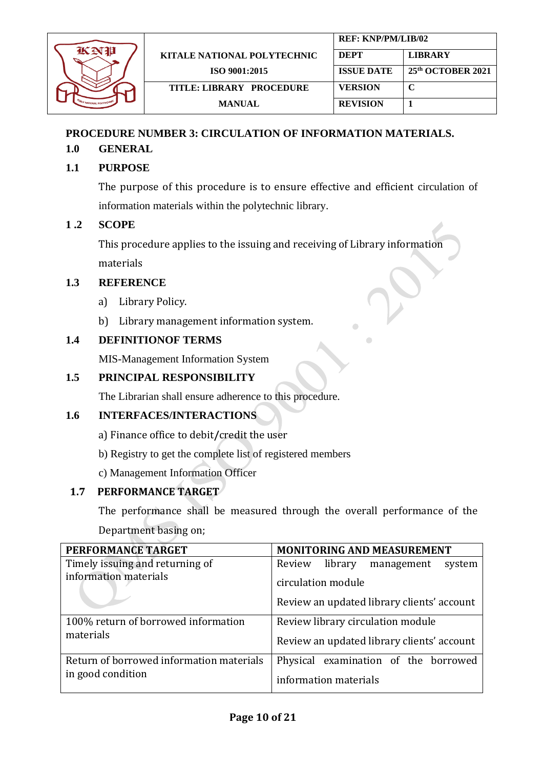

### <span id="page-9-0"></span>**PROCEDURE NUMBER 3: CIRCULATION OF INFORMATION MATERIALS.**

### **1.0 GENERAL**

### **1.1 PURPOSE**

The purpose of this procedure is to ensure effective and efficient circulation of information materials within the polytechnic library.

### **1 .2 SCOPE**

This procedure applies to the issuing and receiving of Library information materials

#### **1.3 REFERENCE**

- a) Library Policy.
- b) Library management information system.

### **1.4 DEFINITIONOF TERMS**

MIS-Management Information System

### **1.5 PRINCIPAL RESPONSIBILITY**

The Librarian shall ensure adherence to this procedure.

### **1.6 INTERFACES/INTERACTIONS**

- a) Finance office to debit**/**credit the user
- b) Registry to get the complete list of registered members
- c) Management Information Officer

#### **1.7 PERFORMANCE TARGET**

The performance shall be measured through the overall performance of the Department basing on;

| PERFORMANCE TARGET                       | <b>MONITORING AND MEASUREMENT</b>          |
|------------------------------------------|--------------------------------------------|
| Timely issuing and returning of          | Review library<br>management<br>system     |
| information materials                    | circulation module                         |
|                                          | Review an updated library clients' account |
| 100% return of borrowed information      | Review library circulation module          |
| materials                                | Review an updated library clients' account |
| Return of borrowed information materials | Physical examination of the borrowed       |
| in good condition                        | information materials                      |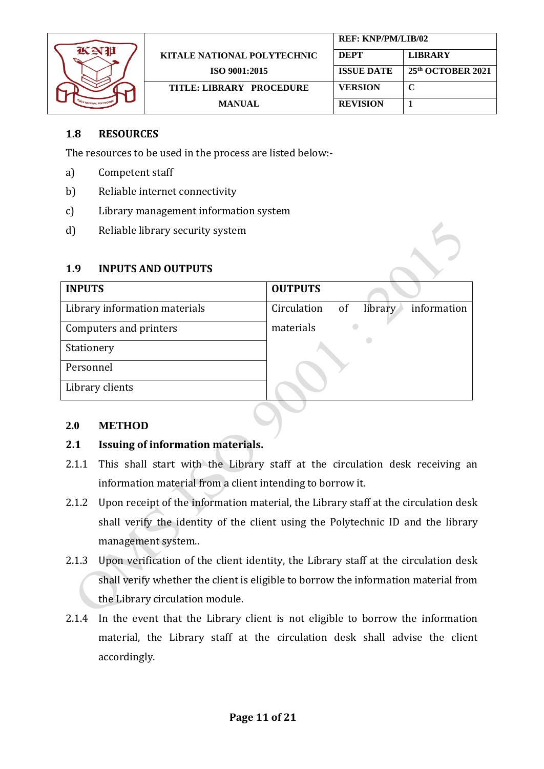

|                             | <b>REF: KNP/PM/LIB/02</b> |                   |
|-----------------------------|---------------------------|-------------------|
| KITALE NATIONAL POLYTECHNIC | <b>DEPT</b>               | <b>LIBRARY</b>    |
| ISO 9001:2015               | <b>ISSUE DATE</b>         | 25th OCTOBER 2021 |
| TITLE: LIBRARY PROCEDURE    | <b>VERSION</b>            | C                 |
| <b>MANUAL</b>               | <b>REVISION</b>           |                   |

### **1.8 RESOURCES**

The resources to be used in the process are listed below:-

- a) Competent staff
- b) Reliable internet connectivity
- c) Library management information system
- d) Reliable library security system

### **1.9 INPUTS AND OUTPUTS**

| <b>INPUTS</b>                 | <b>OUTPUTS</b>                              |
|-------------------------------|---------------------------------------------|
| Library information materials | Circulation<br>information<br>library<br>of |
| Computers and printers        | materials                                   |
| Stationery                    |                                             |
| Personnel                     |                                             |
| Library clients               |                                             |

### **2.0 METHOD**

# **2.1 Issuing of information materials.**

- 2.1.1 This shall start with the Library staff at the circulation desk receiving an information material from a client intending to borrow it.
- 2.1.2 Upon receipt of the information material, the Library staff at the circulation desk shall verify the identity of the client using the Polytechnic ID and the library management system..
- 2.1.3 Upon verification of the client identity, the Library staff at the circulation desk shall verify whether the client is eligible to borrow the information material from the Library circulation module.
- 2.1.4 In the event that the Library client is not eligible to borrow the information material, the Library staff at the circulation desk shall advise the client accordingly.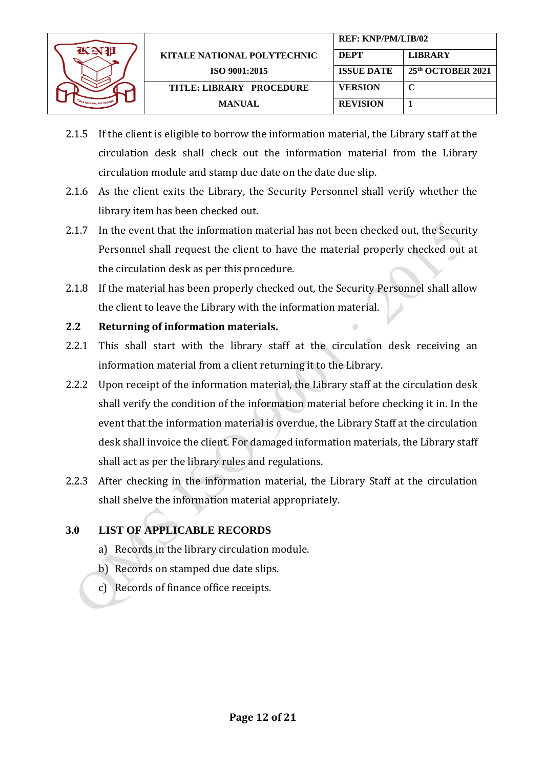

- 2.1.5 If the client is eligible to borrow the information material, the Library staff at the circulation desk shall check out the information material from the Library circulation module and stamp due date on the date due slip.
- 2.1.6 As the client exits the Library, the Security Personnel shall verify whether the library item has been checked out.
- 2.1.7 In the event that the information material has not been checked out, the Security Personnel shall request the client to have the material properly checked out at the circulation desk as per this procedure.
- 2.1.8 If the material has been properly checked out, the Security Personnel shall allow the client to leave the Library with the information material.

# **2.2 Returning of information materials.**

- 2.2.1 This shall start with the library staff at the circulation desk receiving an information material from a client returning it to the Library.
- 2.2.2 Upon receipt of the information material, the Library staff at the circulation desk shall verify the condition of the information material before checking it in. In the event that the information material is overdue, the Library Staff at the circulation desk shall invoice the client. For damaged information materials, the Library staff shall act as per the library rules and regulations.
- 2.2.3 After checking in the information material, the Library Staff at the circulation shall shelve the information material appropriately.

# **3.0 LIST OF APPLICABLE RECORDS**

- a) Records in the library circulation module.
- b) Records on stamped due date slips.
- c) Records of finance office receipts.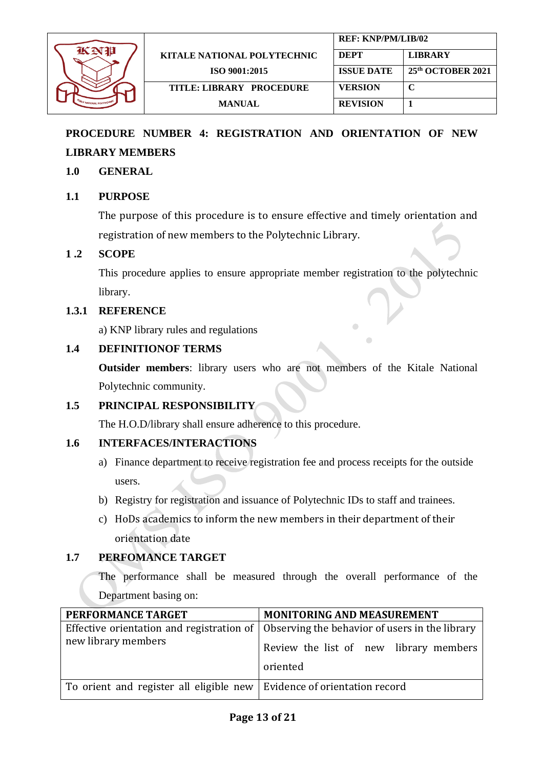

# <span id="page-12-0"></span>**PROCEDURE NUMBER 4: REGISTRATION AND ORIENTATION OF NEW LIBRARY MEMBERS**

#### **1.0 GENERAL**

### **1.1 PURPOSE**

The purpose of this procedure is to ensure effective and timely orientation and registration of new members to the Polytechnic Library.

#### **1 .2 SCOPE**

This procedure applies to ensure appropriate member registration to the polytechnic library.

#### **1.3.1 REFERENCE**

a) KNP library rules and regulations

#### **1.4 DEFINITIONOF TERMS**

**Outsider members**: library users who are not members of the Kitale National Polytechnic community.

#### **1.5 PRINCIPAL RESPONSIBILITY**

The H.O.D/library shall ensure adherence to this procedure.

#### **1.6 INTERFACES/INTERACTIONS**

- a) Finance department to receive registration fee and process receipts for the outside users.
- b) Registry for registration and issuance of Polytechnic IDs to staff and trainees.
- c) HoDs academics to inform the new members in their department of their orientation date

#### **1.7 PERFOMANCE TARGET**

The performance shall be measured through the overall performance of the Department basing on:

| PERFORMANCE TARGET                                                       | <b>MONITORING AND MEASUREMENT</b>                                                                |
|--------------------------------------------------------------------------|--------------------------------------------------------------------------------------------------|
|                                                                          | Effective orientation and registration of $\vert$ Observing the behavior of users in the library |
| new library members                                                      | Review the list of new library members                                                           |
|                                                                          | oriented                                                                                         |
| To orient and register all eligible new   Evidence of orientation record |                                                                                                  |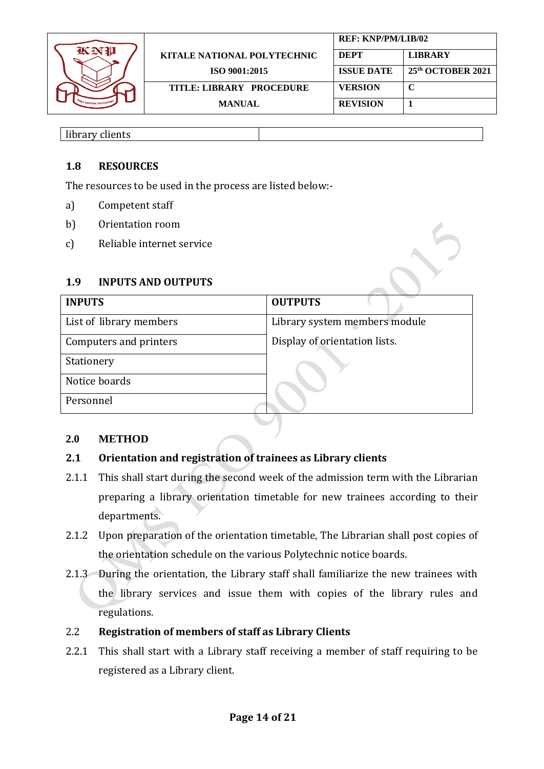

library clients

#### **1.8 RESOURCES**

The resources to be used in the process are listed below:-

- a) Competent staff
- b) Orientation room
- c) Reliable internet service

#### **1.9 INPUTS AND OUTPUTS**

| <b>INPUTS</b>           | <b>OUTPUTS</b>                |
|-------------------------|-------------------------------|
| List of library members | Library system members module |
| Computers and printers  | Display of orientation lists. |
| Stationery              |                               |
| Notice boards           |                               |
| Personnel               |                               |

#### **2.0 METHOD**

#### **2.1 Orientation and registration of trainees as Library clients**

- 2.1.1 This shall start during the second week of the admission term with the Librarian preparing a library orientation timetable for new trainees according to their departments.
- 2.1.2 Upon preparation of the orientation timetable, The Librarian shall post copies of the orientation schedule on the various Polytechnic notice boards.
- 2.1.3 During the orientation, the Library staff shall familiarize the new trainees with the library services and issue them with copies of the library rules and regulations.

#### 2.2 **Registration of members of staff as Library Clients**

2.2.1 This shall start with a Library staff receiving a member of staff requiring to be registered as a Library client.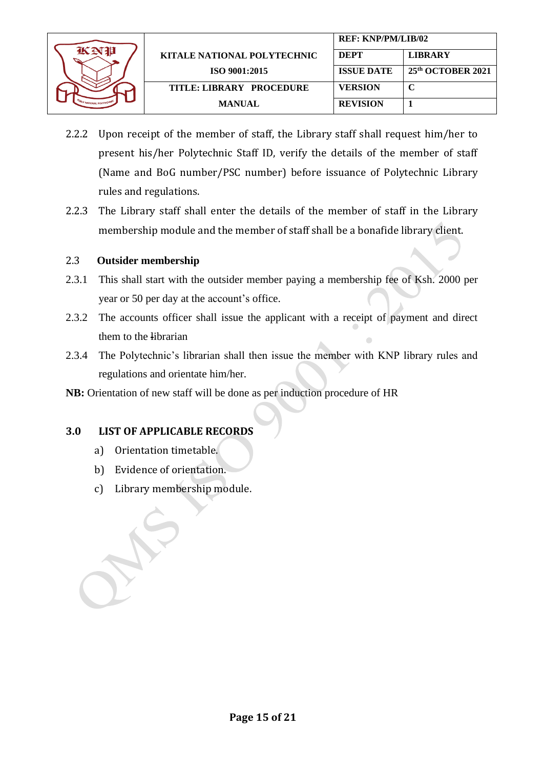

- 2.2.2 Upon receipt of the member of staff, the Library staff shall request him/her to present his/her Polytechnic Staff ID, verify the details of the member of staff (Name and BoG number/PSC number) before issuance of Polytechnic Library rules and regulations.
- 2.2.3 The Library staff shall enter the details of the member of staff in the Library membership module and the member of staff shall be a bonafide library client.

### 2.3 **Outsider membership**

- 2.3.1 This shall start with the outsider member paying a membership fee of Ksh. 2000 per year or 50 per day at the account's office.
- 2.3.2 The accounts officer shall issue the applicant with a receipt of payment and direct them to the librarian
- 2.3.4 The Polytechnic's librarian shall then issue the member with KNP library rules and regulations and orientate him/her.

**NB:** Orientation of new staff will be done as per induction procedure of HR

#### **3.0 LIST OF APPLICABLE RECORDS**

- a) Orientation timetable.
- b) Evidence of orientation.
- c) Library membership module.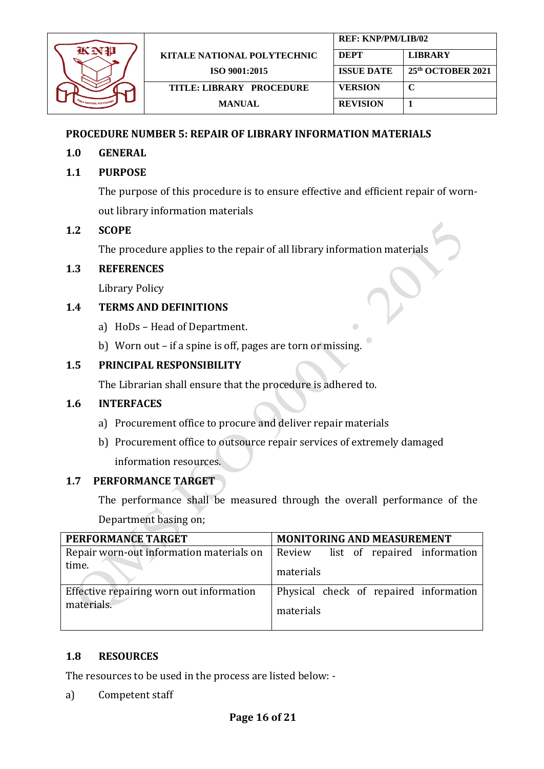

### <span id="page-15-0"></span>**PROCEDURE NUMBER 5: REPAIR OF LIBRARY INFORMATION MATERIALS**

### **1.0 GENERAL**

### **1.1 PURPOSE**

The purpose of this procedure is to ensure effective and efficient repair of wornout library information materials

#### **1.2 SCOPE**

The procedure applies to the repair of all library information materials

#### **1.3 REFERENCES**

Library Policy

### **1.4 TERMS AND DEFINITIONS**

- a) HoDs Head of Department.
- b) Worn out if a spine is off, pages are torn or missing.

### **1.5 PRINCIPAL RESPONSIBILITY**

The Librarian shall ensure that the procedure is adhered to.

#### **1.6 INTERFACES**

- a) Procurement office to procure and deliver repair materials
- b) Procurement office to outsource repair services of extremely damaged information resources.

### **1.7 PERFORMANCE TARGET**

The performance shall be measured through the overall performance of the Department basing on;

| PERFORMANCE TARGET                       | <b>MONITORING AND MEASUREMENT</b>      |
|------------------------------------------|----------------------------------------|
| Repair worn-out information materials on | Review list of repaired information    |
| time.                                    | materials                              |
| Effective repairing worn out information | Physical check of repaired information |
| materials.                               | materials                              |

#### **1.8 RESOURCES**

The resources to be used in the process are listed below: -

a) Competent staff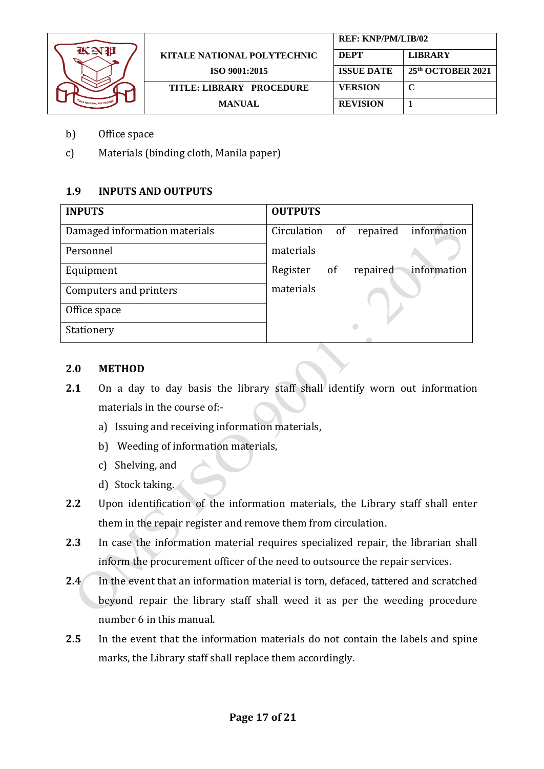

|                             | <b>REF: KNP/PM/LIB/02</b> |                   |
|-----------------------------|---------------------------|-------------------|
| KITALE NATIONAL POLYTECHNIC | <b>DEPT</b>               | <b>LIBRARY</b>    |
| ISO 9001:2015               | <b>ISSUE DATE</b>         | 25th OCTOBER 2021 |
| TITLE: LIBRARY PROCEDURE    | <b>VERSION</b>            | C                 |
| <b>MANUAL</b>               | <b>REVISION</b>           |                   |

- b) Office space
- c) Materials (binding cloth, Manila paper)

### **1.9 INPUTS AND OUTPUTS**

| <b>INPUTS</b>                 | <b>OUTPUTS</b>                               |
|-------------------------------|----------------------------------------------|
| Damaged information materials | information<br>Circulation<br>of<br>repaired |
| Personnel                     | materials                                    |
| Equipment                     | repaired<br>information<br>Register<br>of    |
| Computers and printers        | materials                                    |
| Office space                  |                                              |
| Stationery                    |                                              |

#### **2.0 METHOD**

- **2.1** On a day to day basis the library staff shall identify worn out information materials in the course of:
	- a) Issuing and receiving information materials,
	- b) Weeding of information materials,
	- c) Shelving, and
	- d) Stock taking.
- **2.2** Upon identification of the information materials, the Library staff shall enter them in the repair register and remove them from circulation.
- **2.3** In case the information material requires specialized repair, the librarian shall inform the procurement officer of the need to outsource the repair services.
- **2.4** In the event that an information material is torn, defaced, tattered and scratched beyond repair the library staff shall weed it as per the weeding procedure number 6 in this manual.
- **2.5** In the event that the information materials do not contain the labels and spine marks, the Library staff shall replace them accordingly.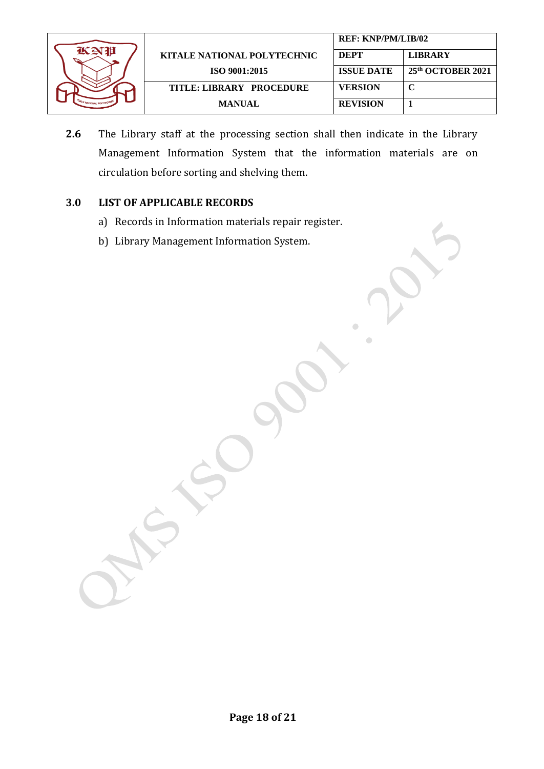

|                                    | <b>REF: KNP/PM/LIB/02</b> |                   |
|------------------------------------|---------------------------|-------------------|
| <b>KITALE NATIONAL POLYTECHNIC</b> | <b>DEPT</b>               | <b>LIBRARY</b>    |
| ISO 9001:2015                      | <b>ISSUE DATE</b>         | 25th OCTOBER 2021 |
| TITLE: LIBRARY PROCEDURE           | <b>VERSION</b>            |                   |
| <b>MANUAL</b>                      | <b>REVISION</b>           |                   |

Ċ

 $\bullet$ 

**2.6** The Library staff at the processing section shall then indicate in the Library Management Information System that the information materials are on circulation before sorting and shelving them.

### **3.0 LIST OF APPLICABLE RECORDS**

- a) Records in Information materials repair register.
- b) Library Management Information System.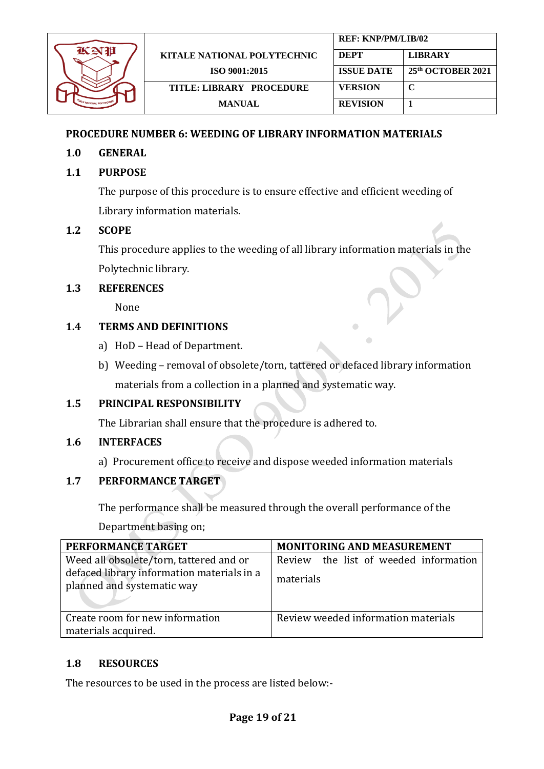

### <span id="page-18-0"></span>**PROCEDURE NUMBER 6: WEEDING OF LIBRARY INFORMATION MATERIALS**

### **1.0 GENERAL**

### **1.1 PURPOSE**

The purpose of this procedure is to ensure effective and efficient weeding of Library information materials.

#### **1.2 SCOPE**

This procedure applies to the weeding of all library information materials in the Polytechnic library.

#### **1.3 REFERENCES**

None

### **1.4 TERMS AND DEFINITIONS**

- a) HoD Head of Department.
- b) Weeding removal of obsolete/torn, tattered or defaced library information materials from a collection in a planned and systematic way.

### **1.5 PRINCIPAL RESPONSIBILITY**

The Librarian shall ensure that the procedure is adhered to.

#### **1.6 INTERFACES**

a) Procurement office to receive and dispose weeded information materials

### **1.7 PERFORMANCE TARGET**

The performance shall be measured through the overall performance of the

Department basing on;

| PERFORMANCE TARGET                                                       | <b>MONITORING AND MEASUREMENT</b>     |
|--------------------------------------------------------------------------|---------------------------------------|
| Weed all obsolete/torn, tattered and or                                  | Review the list of weeded information |
| defaced library information materials in a<br>planned and systematic way | materials                             |
| Create room for new information                                          | Review weeded information materials   |
| materials acquired.                                                      |                                       |

#### **1.8 RESOURCES**

The resources to be used in the process are listed below:-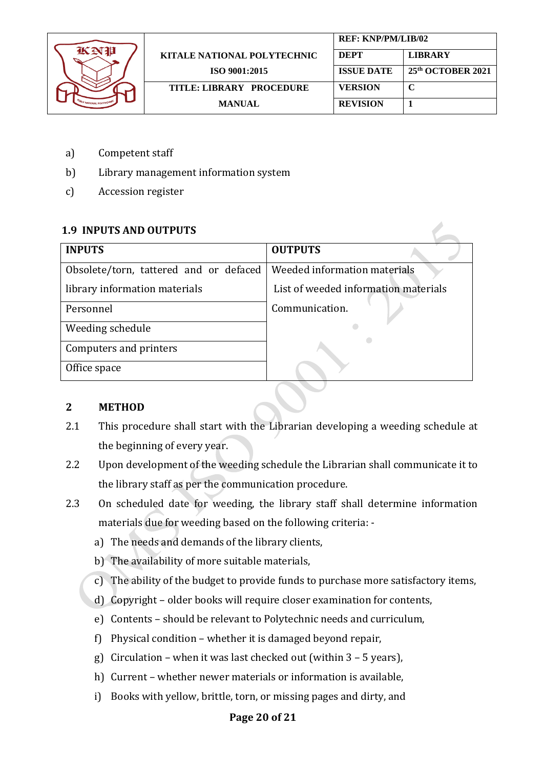

|                             | <b>REF: KNP/PM/LIB/02</b> |                   |
|-----------------------------|---------------------------|-------------------|
| KITALE NATIONAL POLYTECHNIC | <b>DEPT</b>               | <b>LIBRARY</b>    |
| ISO 9001:2015               | <b>ISSUE DATE</b>         | 25th OCTOBER 2021 |
| TITLE: LIBRARY PROCEDURE    | <b>VERSION</b>            | C                 |
| <b>MANUAL</b>               | <b>REVISION</b>           |                   |

- a) Competent staff
- b) Library management information system
- c) Accession register

# **1.9 INPUTS AND OUTPUTS**

| <b>INPUTS</b>                          | <b>OUTPUTS</b>                       |
|----------------------------------------|--------------------------------------|
| Obsolete/torn, tattered and or defaced | Weeded information materials         |
|                                        |                                      |
| library information materials          | List of weeded information materials |
| Personnel                              | Communication.                       |
| Weeding schedule                       |                                      |
| Computers and printers                 |                                      |
| Office space                           |                                      |

### **2 METHOD**

- 2.1 This procedure shall start with the Librarian developing a weeding schedule at the beginning of every year.
- 2.2 Upon development of the weeding schedule the Librarian shall communicate it to the library staff as per the communication procedure.
- 2.3 On scheduled date for weeding, the library staff shall determine information materials due for weeding based on the following criteria:
	- a) The needs and demands of the library clients,
	- b) The availability of more suitable materials,
	- c) The ability of the budget to provide funds to purchase more satisfactory items,
	- d) Copyright older books will require closer examination for contents,
	- e) Contents should be relevant to Polytechnic needs and curriculum,
	- f) Physical condition whether it is damaged beyond repair,
	- g) Circulation when it was last checked out (within 3 5 years),
	- h) Current whether newer materials or information is available,
	- i) Books with yellow, brittle, torn, or missing pages and dirty, and

### **Page 20 of 21**